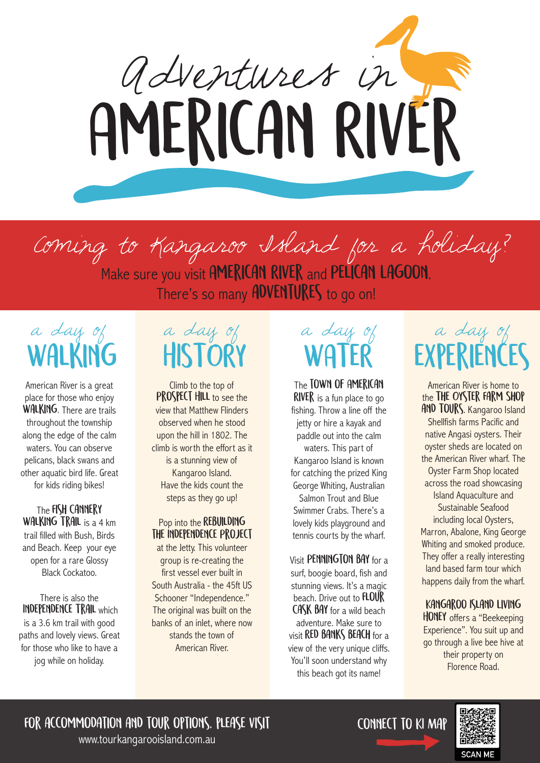

Coming to Kangaroo Island for a holiday? Make sure you visit AMERICAN RIVER and PELICAN LAGOON. There's so many **ADVENTURES** to go on!

a day of Walking

American River is a great place for those who enjoy WALKING. There are trails throughout the township along the edge of the calm waters. You can observe pelicans, black swans and other aquatic bird life. Great for kids riding bikes!

The FISH CANNERY WALKING TRAIL is a 4 km trail filled with Bush, Birds and Beach. Keep your eye open for a rare Glossy Black Cockatoo.

There is also the Independence Trail which is a 3.6 km trail with good paths and lovely views. Great for those who like to have a jog while on holiday.

## a day of **HISTORY**

Climb to the top of PROSPECT HILL to see the view that Matthew Flinders observed when he stood upon the hill in 1802. The climb is worth the effort as it is a stunning view of Kangaroo Island. Have the kids count the steps as they go up!

#### Pop into the REBUILDING the Independence Project

at the Jetty. This volunteer group is re-creating the first vessel ever built in South Australia - the 45ft US Schooner "Independence." The original was built on the banks of an inlet, where now stands the town of American River.

# a day of **WATER**

The TOWN OF AMERICAN **RIVER** is a fun place to go fishing. Throw a line off the jetty or hire a kayak and paddle out into the calm waters. This part of Kangaroo Island is known for catching the prized King George Whiting, Australian Salmon Trout and Blue Swimmer Crabs. There's a lovely kids playground and tennis courts by the wharf.

Visit PENNINGTON BAY for a surf, boogie board, fish and stunning views. It's a magic beach. Drive out to **FLOUR** CASK BAY for a wild beach adventure. Make sure to visit **RED BANKS BEACH** for a view of the very unique cliffs. You'll soon understand why this beach got its name!

# a day of **EXPERIENCES**

American River is home to the THE OYSTER FARM SHOP AND TOURS. Kangaroo Island Shellfish farms Pacific and native Angasi oysters. Their oyster sheds are located on the American River wharf. The Oyster Farm Shop located across the road showcasing Island Aquaculture and Sustainable Seafood including local Oysters, Marron, Abalone, King George Whiting and smoked produce. They offer a really interesting land based farm tour which happens daily from the wharf.

#### Kangaroo Island Living

HONEY offers a "Beekeeping Experience". You suit up and go through a live bee hive at their property on Florence Road.

For accommodation and tour options, please visit

www.tourkangarooisland.com.au

Connect to KI Map